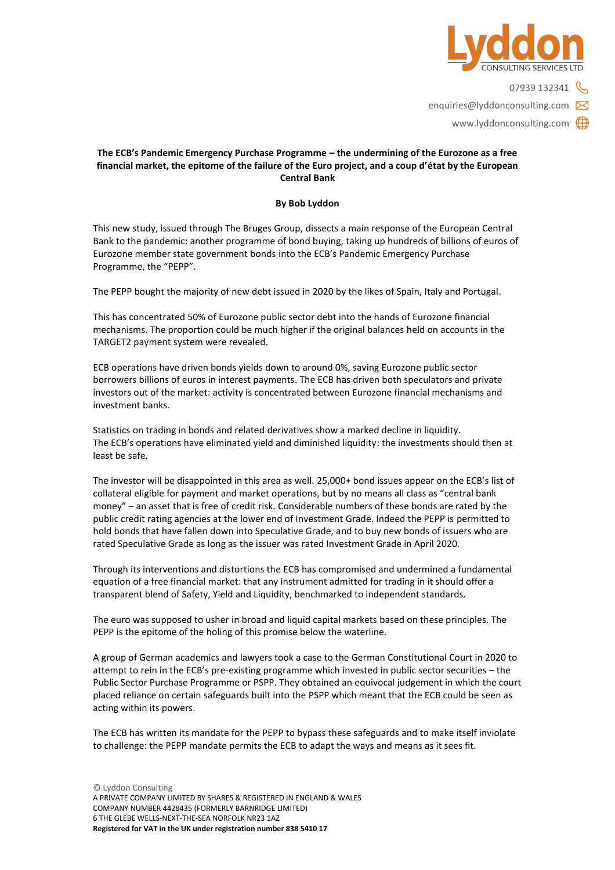

07939 132341 enquiries@lyddonconsulting.com www.lyddonconsulting.com

## **The ECB's Pandemic Emergency Purchase Programme – the undermining of the Eurozone as a free financial market, the epitome of the failure of the Euro project, and a coup d'état by the European Central Bank**

## **By Bob Lyddon**

This new study, issued through The Bruges Group, dissects a main response of the European Central Bank to the pandemic: another programme of bond buying, taking up hundreds of billions of euros of Eurozone member state government bonds into the ECB's Pandemic Emergency Purchase Programme, the "PEPP".

The PEPP bought the majority of new debt issued in 2020 by the likes of Spain, Italy and Portugal.

This has concentrated 50% of Eurozone public sector debt into the hands of Eurozone financial mechanisms. The proportion could be much higher if the original balances held on accounts in the TARGET2 payment system were revealed.

ECB operations have driven bonds yields down to around 0%, saving Eurozone public sector borrowers billions of euros in interest payments. The ECB has driven both speculators and private investors out of the market: activity is concentrated between Eurozone financial mechanisms and investment banks.

Statistics on trading in bonds and related derivatives show a marked decline in liquidity. The ECB's operations have eliminated yield and diminished liquidity: the investments should then at least be safe.

The investor will be disappointed in this area as well. 25,000+ bond issues appear on the ECB's list of collateral eligible for payment and market operations, but by no means all class as "central bank money" – an asset that is free of credit risk. Considerable numbers of these bonds are rated by the public credit rating agencies at the lower end of Investment Grade. Indeed the PEPP is permitted to hold bonds that have fallen down into Speculative Grade, and to buy new bonds of issuers who are rated Speculative Grade as long as the issuer was rated Investment Grade in April 2020.

Through its interventions and distortions the ECB has compromised and undermined a fundamental equation of a free financial market: that any instrument admitted for trading in it should offer a transparent blend of Safety, Yield and Liquidity, benchmarked to independent standards.

The euro was supposed to usher in broad and liquid capital markets based on these principles. The PEPP is the epitome of the holing of this promise below the waterline.

A group of German academics and lawyers took a case to the German Constitutional Court in 2020 to attempt to rein in the ECB's pre-existing programme which invested in public sector securities – the Public Sector Purchase Programme or PSPP. They obtained an equivocal judgement in which the court placed reliance on certain safeguards built into the PSPP which meant that the ECB could be seen as acting within its powers.

The ECB has written its mandate for the PEPP to bypass these safeguards and to make itself inviolate to challenge: the PEPP mandate permits the ECB to adapt the ways and means as it sees fit.